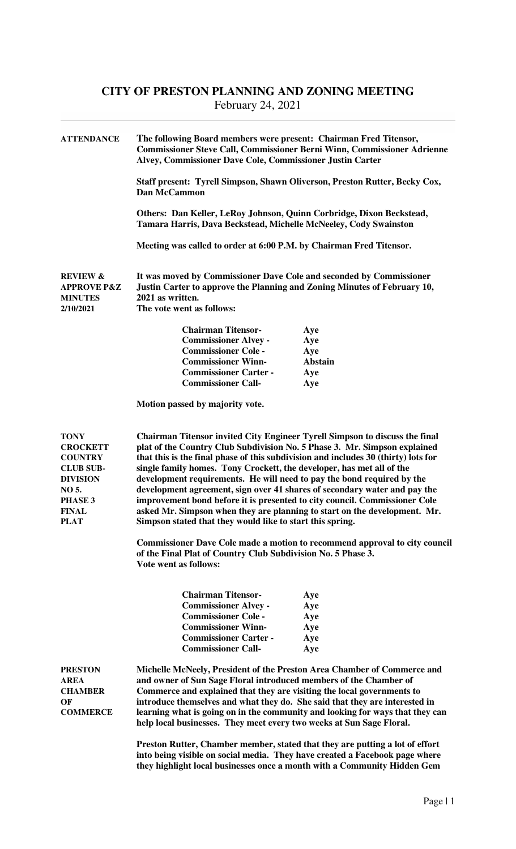## **CITY OF PRESTON PLANNING AND ZONING MEETING**  February 24, 2021

| <b>ATTENDANCE</b>                                                                                                            | The following Board members were present: Chairman Fred Titensor,<br><b>Commissioner Steve Call, Commissioner Berni Winn, Commissioner Adrienne</b><br>Alvey, Commissioner Dave Cole, Commissioner Justin Carter<br>Staff present: Tyrell Simpson, Shawn Oliverson, Preston Rutter, Becky Cox,<br><b>Dan McCammon</b><br>Others: Dan Keller, LeRoy Johnson, Quinn Corbridge, Dixon Beckstead,<br>Tamara Harris, Dava Beckstead, Michelle McNeeley, Cody Swainston<br>Meeting was called to order at 6:00 P.M. by Chairman Fred Titensor.                                                                                                                                                                                                                                                                                                                                                           |            |  |
|------------------------------------------------------------------------------------------------------------------------------|----------------------------------------------------------------------------------------------------------------------------------------------------------------------------------------------------------------------------------------------------------------------------------------------------------------------------------------------------------------------------------------------------------------------------------------------------------------------------------------------------------------------------------------------------------------------------------------------------------------------------------------------------------------------------------------------------------------------------------------------------------------------------------------------------------------------------------------------------------------------------------------------------|------------|--|
|                                                                                                                              |                                                                                                                                                                                                                                                                                                                                                                                                                                                                                                                                                                                                                                                                                                                                                                                                                                                                                                    |            |  |
|                                                                                                                              |                                                                                                                                                                                                                                                                                                                                                                                                                                                                                                                                                                                                                                                                                                                                                                                                                                                                                                    |            |  |
|                                                                                                                              |                                                                                                                                                                                                                                                                                                                                                                                                                                                                                                                                                                                                                                                                                                                                                                                                                                                                                                    |            |  |
| <b>REVIEW &amp;</b><br><b>APPROVE P&amp;Z</b><br><b>MINUTES</b><br>2/10/2021                                                 | It was moved by Commissioner Dave Cole and seconded by Commissioner<br>Justin Carter to approve the Planning and Zoning Minutes of February 10,<br>2021 as written.<br>The vote went as follows:                                                                                                                                                                                                                                                                                                                                                                                                                                                                                                                                                                                                                                                                                                   |            |  |
|                                                                                                                              |                                                                                                                                                                                                                                                                                                                                                                                                                                                                                                                                                                                                                                                                                                                                                                                                                                                                                                    |            |  |
|                                                                                                                              | <b>Chairman Titensor-</b>                                                                                                                                                                                                                                                                                                                                                                                                                                                                                                                                                                                                                                                                                                                                                                                                                                                                          | Aye        |  |
|                                                                                                                              | <b>Commissioner Alvey -</b><br><b>Commissioner Cole -</b>                                                                                                                                                                                                                                                                                                                                                                                                                                                                                                                                                                                                                                                                                                                                                                                                                                          | Aye<br>Aye |  |
|                                                                                                                              | <b>Commissioner Winn-</b>                                                                                                                                                                                                                                                                                                                                                                                                                                                                                                                                                                                                                                                                                                                                                                                                                                                                          | Abstain    |  |
|                                                                                                                              | <b>Commissioner Carter -</b>                                                                                                                                                                                                                                                                                                                                                                                                                                                                                                                                                                                                                                                                                                                                                                                                                                                                       | Aye        |  |
|                                                                                                                              | <b>Commissioner Call-</b>                                                                                                                                                                                                                                                                                                                                                                                                                                                                                                                                                                                                                                                                                                                                                                                                                                                                          | Aye        |  |
|                                                                                                                              | Motion passed by majority vote.                                                                                                                                                                                                                                                                                                                                                                                                                                                                                                                                                                                                                                                                                                                                                                                                                                                                    |            |  |
| TONY<br><b>CROCKETT</b><br><b>COUNTRY</b><br><b>CLUB SUB-</b><br><b>DIVISION</b><br>NO 5.<br>PHASE 3<br>FINAL<br><b>PLAT</b> | <b>Chairman Titensor invited City Engineer Tyrell Simpson to discuss the final</b><br>plat of the Country Club Subdivision No. 5 Phase 3. Mr. Simpson explained<br>that this is the final phase of this subdivision and includes 30 (thirty) lots for<br>single family homes. Tony Crockett, the developer, has met all of the<br>development requirements. He will need to pay the bond required by the<br>development agreement, sign over 41 shares of secondary water and pay the<br>improvement bond before it is presented to city council. Commissioner Cole<br>asked Mr. Simpson when they are planning to start on the development. Mr.<br>Simpson stated that they would like to start this spring.<br><b>Commissioner Dave Cole made a motion to recommend approval to city council</b><br>of the Final Plat of Country Club Subdivision No. 5 Phase 3.<br><b>Vote went as follows:</b> |            |  |
|                                                                                                                              | <b>Chairman Titensor-</b>                                                                                                                                                                                                                                                                                                                                                                                                                                                                                                                                                                                                                                                                                                                                                                                                                                                                          | Aye        |  |
|                                                                                                                              | <b>Commissioner Alvey -</b>                                                                                                                                                                                                                                                                                                                                                                                                                                                                                                                                                                                                                                                                                                                                                                                                                                                                        | Aye        |  |
|                                                                                                                              | <b>Commissioner Cole -</b>                                                                                                                                                                                                                                                                                                                                                                                                                                                                                                                                                                                                                                                                                                                                                                                                                                                                         | Aye        |  |
|                                                                                                                              | <b>Commissioner Winn-</b>                                                                                                                                                                                                                                                                                                                                                                                                                                                                                                                                                                                                                                                                                                                                                                                                                                                                          | Aye        |  |
|                                                                                                                              | <b>Commissioner Carter -</b>                                                                                                                                                                                                                                                                                                                                                                                                                                                                                                                                                                                                                                                                                                                                                                                                                                                                       | Aye        |  |
|                                                                                                                              | <b>Commissioner Call-</b>                                                                                                                                                                                                                                                                                                                                                                                                                                                                                                                                                                                                                                                                                                                                                                                                                                                                          | Aye        |  |
| <b>PRESTON</b><br><b>AREA</b><br><b>CHAMBER</b><br>ОF<br><b>COMMERCE</b>                                                     | Michelle McNeely, President of the Preston Area Chamber of Commerce and<br>and owner of Sun Sage Floral introduced members of the Chamber of<br>Commerce and explained that they are visiting the local governments to<br>introduce themselves and what they do. She said that they are interested in<br>learning what is going on in the community and looking for ways that they can<br>help local businesses. They meet every two weeks at Sun Sage Floral.                                                                                                                                                                                                                                                                                                                                                                                                                                     |            |  |
|                                                                                                                              | Preston Rutter, Chamber member, stated that they are putting a lot of effort                                                                                                                                                                                                                                                                                                                                                                                                                                                                                                                                                                                                                                                                                                                                                                                                                       |            |  |
|                                                                                                                              | into being visible on social media. They have created a Facebook page where                                                                                                                                                                                                                                                                                                                                                                                                                                                                                                                                                                                                                                                                                                                                                                                                                        |            |  |
|                                                                                                                              | they highlight local businesses once a month with a Community Hidden Gem                                                                                                                                                                                                                                                                                                                                                                                                                                                                                                                                                                                                                                                                                                                                                                                                                           |            |  |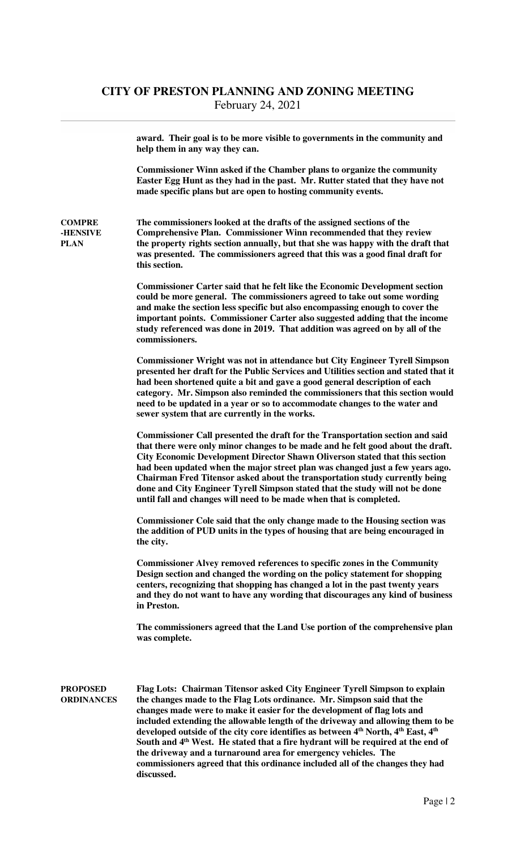|                                          | award. Their goal is to be more visible to governments in the community and<br>help them in any way they can.                                                                                                                                                                                                                                                                                                                                                                                                                                                                                                                                                                                   |
|------------------------------------------|-------------------------------------------------------------------------------------------------------------------------------------------------------------------------------------------------------------------------------------------------------------------------------------------------------------------------------------------------------------------------------------------------------------------------------------------------------------------------------------------------------------------------------------------------------------------------------------------------------------------------------------------------------------------------------------------------|
|                                          | Commissioner Winn asked if the Chamber plans to organize the community<br>Easter Egg Hunt as they had in the past. Mr. Rutter stated that they have not<br>made specific plans but are open to hosting community events.                                                                                                                                                                                                                                                                                                                                                                                                                                                                        |
| <b>COMPRE</b><br>-HENSIVE<br><b>PLAN</b> | The commissioners looked at the drafts of the assigned sections of the<br><b>Comprehensive Plan. Commissioner Winn recommended that they review</b><br>the property rights section annually, but that she was happy with the draft that<br>was presented. The commissioners agreed that this was a good final draft for<br>this section.                                                                                                                                                                                                                                                                                                                                                        |
|                                          | <b>Commissioner Carter said that he felt like the Economic Development section</b><br>could be more general. The commissioners agreed to take out some wording<br>and make the section less specific but also encompassing enough to cover the<br>important points. Commissioner Carter also suggested adding that the income<br>study referenced was done in 2019. That addition was agreed on by all of the<br>commissioners.                                                                                                                                                                                                                                                                 |
|                                          | <b>Commissioner Wright was not in attendance but City Engineer Tyrell Simpson</b><br>presented her draft for the Public Services and Utilities section and stated that it<br>had been shortened quite a bit and gave a good general description of each<br>category. Mr. Simpson also reminded the commissioners that this section would<br>need to be updated in a year or so to accommodate changes to the water and<br>sewer system that are currently in the works.                                                                                                                                                                                                                         |
|                                          | Commissioner Call presented the draft for the Transportation section and said<br>that there were only minor changes to be made and he felt good about the draft.<br><b>City Economic Development Director Shawn Oliverson stated that this section</b><br>had been updated when the major street plan was changed just a few years ago.<br>Chairman Fred Titensor asked about the transportation study currently being<br>done and City Engineer Tyrell Simpson stated that the study will not be done<br>until fall and changes will need to be made when that is completed.                                                                                                                   |
|                                          | Commissioner Cole said that the only change made to the Housing section was<br>the addition of PUD units in the types of housing that are being encouraged in<br>the city.                                                                                                                                                                                                                                                                                                                                                                                                                                                                                                                      |
|                                          | <b>Commissioner Alvey removed references to specific zones in the Community</b><br>Design section and changed the wording on the policy statement for shopping<br>centers, recognizing that shopping has changed a lot in the past twenty years<br>and they do not want to have any wording that discourages any kind of business<br>in Preston.                                                                                                                                                                                                                                                                                                                                                |
|                                          | The commissioners agreed that the Land Use portion of the comprehensive plan<br>was complete.                                                                                                                                                                                                                                                                                                                                                                                                                                                                                                                                                                                                   |
| <b>PROPOSED</b><br><b>ORDINANCES</b>     | Flag Lots: Chairman Titensor asked City Engineer Tyrell Simpson to explain<br>the changes made to the Flag Lots ordinance. Mr. Simpson said that the<br>changes made were to make it easier for the development of flag lots and<br>included extending the allowable length of the driveway and allowing them to be<br>developed outside of the city core identifies as between 4 <sup>th</sup> North, 4 <sup>th</sup> East, 4 <sup>th</sup><br>South and 4 <sup>th</sup> West. He stated that a fire hydrant will be required at the end of<br>the driveway and a turnaround area for emergency vehicles. The<br>commissioners agreed that this ordinance included all of the changes they had |

**discussed.**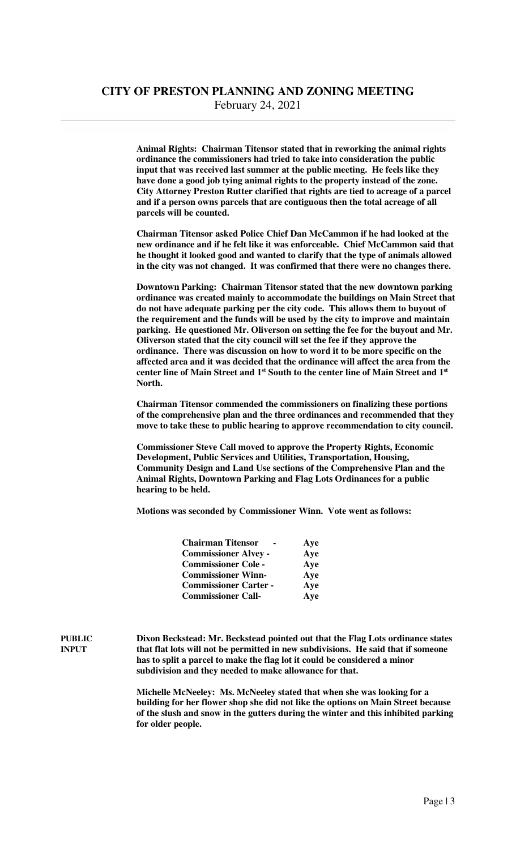**Animal Rights: Chairman Titensor stated that in reworking the animal rights ordinance the commissioners had tried to take into consideration the public input that was received last summer at the public meeting. He feels like they have done a good job tying animal rights to the property instead of the zone. City Attorney Preston Rutter clarified that rights are tied to acreage of a parcel and if a person owns parcels that are contiguous then the total acreage of all parcels will be counted.** 

 **Chairman Titensor asked Police Chief Dan McCammon if he had looked at the new ordinance and if he felt like it was enforceable. Chief McCammon said that he thought it looked good and wanted to clarify that the type of animals allowed in the city was not changed. It was confirmed that there were no changes there.** 

 **Downtown Parking: Chairman Titensor stated that the new downtown parking ordinance was created mainly to accommodate the buildings on Main Street that do not have adequate parking per the city code. This allows them to buyout of the requirement and the funds will be used by the city to improve and maintain parking. He questioned Mr. Oliverson on setting the fee for the buyout and Mr. Oliverson stated that the city council will set the fee if they approve the ordinance. There was discussion on how to word it to be more specific on the affected area and it was decided that the ordinance will affect the area from the center line of Main Street and 1st South to the center line of Main Street and 1st North.** 

 **Chairman Titensor commended the commissioners on finalizing these portions of the comprehensive plan and the three ordinances and recommended that they move to take these to public hearing to approve recommendation to city council.** 

 **Commissioner Steve Call moved to approve the Property Rights, Economic Development, Public Services and Utilities, Transportation, Housing, Community Design and Land Use sections of the Comprehensive Plan and the Animal Rights, Downtown Parking and Flag Lots Ordinances for a public hearing to be held.** 

 **Motions was seconded by Commissioner Winn. Vote went as follows:** 

| <b>Chairman Titensor</b>     | Aye<br>$\sim$ |
|------------------------------|---------------|
| <b>Commissioner Alvey -</b>  | Aye           |
| <b>Commissioner Cole -</b>   | Aye           |
| <b>Commissioner Winn-</b>    | Aye           |
| <b>Commissioner Carter -</b> | Aye           |
| <b>Commissioner Call-</b>    | Aye           |

**PUBLIC Dixon Beckstead: Mr. Beckstead pointed out that the Flag Lots ordinance states INPUT that flat lots will not be permitted in new subdivisions. He said that if someone has to split a parcel to make the flag lot it could be considered a minor subdivision and they needed to make allowance for that.** 

> **Michelle McNeeley: Ms. McNeeley stated that when she was looking for a building for her flower shop she did not like the options on Main Street because of the slush and snow in the gutters during the winter and this inhibited parking for older people.**